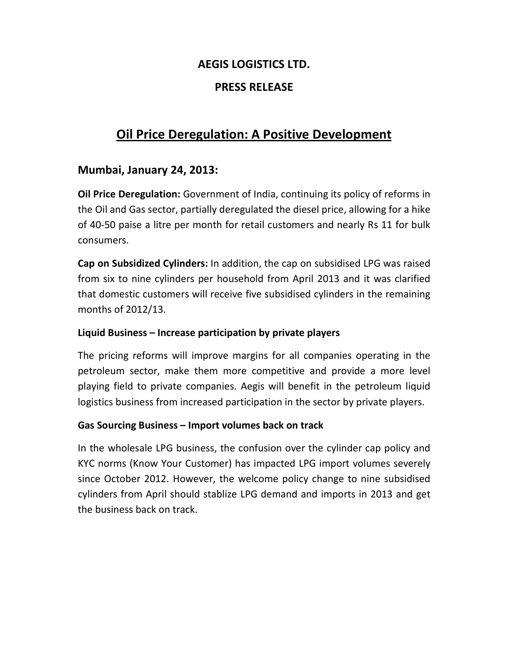## **AEGIS LOGISTICS LTD.**

## **PRESS RELEASE**

# **Oil Price Deregulation: A Positive Development**

## **Mumbai, January 24, 2013:**

**Oil Price Deregulation:** Government of India, continuing its policy of reforms in the Oil and Gas sector, partially deregulated the diesel price, allowing for a hike of 40-50 paise a litre per month for retail customers and nearly Rs 11 for bulk consumers.

**Cap on Subsidized Cylinders:** In addition, the cap on subsidised LPG was raised from six to nine cylinders per household from April 2013 and it was clarified that domestic customers will receive five subsidised cylinders in the remaining months of 2012/13.

#### **Liquid Business – Increase participation by private players**

The pricing reforms will improve margins for all companies operating in the petroleum sector, make them more competitive and provide a more level playing field to private companies. Aegis will benefit in the petroleum liquid logistics business from increased participation in the sector by private players.

#### **Gas Sourcing Business – Import volumes back on track**

In the wholesale LPG business, the confusion over the cylinder cap policy and KYC norms (Know Your Customer) has impacted LPG import volumes severely since October 2012. However, the welcome policy change to nine subsidised cylinders from April should stablize LPG demand and imports in 2013 and get the business back on track.